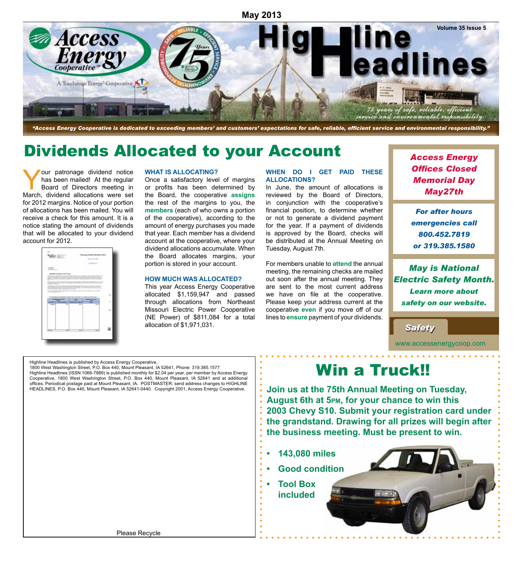

*"Access Energy Cooperative is dedicated to exceeding members' and customers' expectations for safe, reliable, efficient service and environmental responsibility."*

# Dividends Allocated to your Account

Your patronage dividend notice has been mailed! At the regular Board of Directors meeting in March, dividend allocations were set for 2012 margins. Notice of your portion of allocations has been mailed. You will receive a check for this amount. It is a notice stating the amount of dividends that will be allocated to your dividend account for 2012.



#### **WHAT IS ALLOCATING?**

Once a satisfactory level of margins or profits has been determined by the Board, the cooperative **assigns** the rest of the margins to you, the **members** (each of who owns a portion of the cooperative), according to the amount of energy purchases you made that year. Each member has a dividend account at the cooperative, where your dividend allocations accumulate. When the Board allocates margins, your portion is stored in your account.

#### **HOW MUCH WAS ALLOCATED?**

This year Access Energy Cooperative allocated \$1,159,947 and passed through allocations from Northeast Missouri Electric Power Cooperative (NE Power) of \$811,084 for a total allocation of \$1,971,031.

#### **WHEN DO I GET PAID THESE ALLOCATIONS?**

In June, the amount of allocations is reviewed by the Board of Directors, in conjunction with the cooperative's financial position, to determine whether or not to generate a dividend payment for the year. If a payment of dividends is approved by the Board, checks will be distributed at the Annual Meeting on Tuesday, August 7th.

For members unable to **attend** the annual meeting, the remaining checks are mailed out soon after the annual meeting. They are sent to the most current address we have on file at the cooperative. Please keep your address current at the cooperative **even** if you move off of our lines to **ensure** payment of your dividends. *Access Energy Offices Closed Memorial Day May27th*

*For after hours emergencies call 800.452.7819 or 319.385.1580*

*May is National Electric Safety Month. Learn more about safety on our website.* 

*Safety Safety*

www.accessenergycoop.com

Highline Headlines is published by Access Energy Cooperative, 1800 West Washington Street, P.O. Box 440, Mount Pleasant, IA 52641, Phone: 319.385.1577 Highline Headlines (ISSN 1066-7989) is published monthly for \$2.04 per year, per member by Access Energy Cooperative, 1800 West Washington Street, P.O. Box 440, Mount Pleasant, IA 52641 and at additional offices. Periodical postage paid at Mount Pleasant, IA. POSTMASTER: send address changes to HIGHLINE HEADLINES, P.O. Box 440, Mount Pleasant, IA 52641-0440. Copyright 2001, Access Energy Cooperative.

Win a Truck!!

**Join us at the 75th Annual Meeting on Tuesday, August 6th at 5pm, for your chance to win this 2003 Chevy S10. Submit your registration card under the grandstand. Drawing for all prizes will begin after the business meeting. Must be present to win.**

- **• 143,080 miles**
- **• Good condition**
- **• Tool Box included**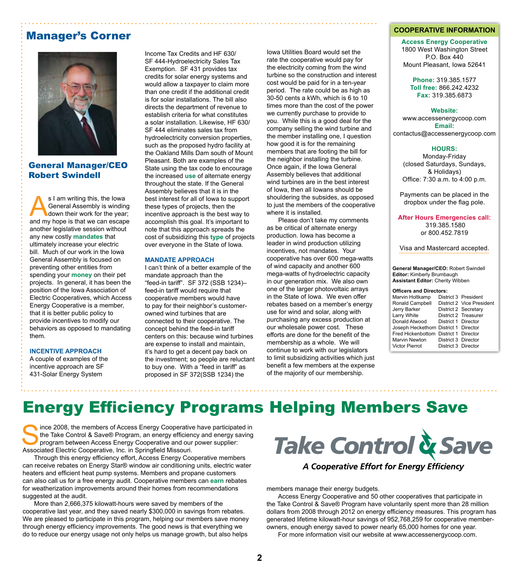## Manager's Corner



## General Manager/CEO Robert Swindell

s I am writing this, the Iowa<br>General Assembly is winding<br>down their work for the year<br>and my hone is that we can escape General Assembly is winding down their work for the year; and my hope is that we can escape another legislative session without any new costly **mandates** that ultimately increase your electric bill. Much of our work in the Iowa General Assembly is focused on preventing other entities from spending your **money** on their pet projects. In general, it has been the position of the Iowa Association of Electric Cooperatives, which Access Energy Cooperative is a member, that it is better public policy to provide incentives to modify our behaviors as opposed to mandating them.

#### **INCentive approach**

A couple of examples of the incentive approach are SF 431-Solar Energy System

Income Tax Credits and HF 630/ SF 444-Hydroelectricity Sales Tax Exemption. SF 431 provides tax credits for solar energy systems and would allow a taxpayer to claim more than one credit if the additional credit is for solar installations. The bill also directs the department of revenue to establish criteria for what constitutes a solar installation. Likewise, HF 630/ SF 444 eliminates sales tax from hydroelectricity conversion properties, such as the proposed hydro facility at the Oakland Mills Dam south of Mount Pleasant. Both are examples of the State using the tax code to encourage the increased **use** of alternate energy throughout the state. If the General Assembly believes that it is in the best interest for all of Iowa to support these types of projects, then the incentive approach is the best way to accomplish this goal. It's important to note that this approach spreads the cost of subsidizing this **type** of projects over everyone in the State of Iowa.

#### **Mandate approach**

I can't think of a better example of the mandate approach than the "feed-in tariff". SF 372 (SSB 1234)– feed-in tariff would require that cooperative members would have to pay for their neighbor's customerowned wind turbines that are connected to their cooperative. The concept behind the feed-in tariff centers on this: because wind turbines are expense to install and maintain, it's hard to get a decent pay back on the investment; so people are reluctant to buy one. With a "feed in tariff" as proposed in SF 372(SSB 1234) the

Iowa Utilities Board would set the rate the cooperative would pay for the electricity coming from the wind turbine so the construction and interest cost would be paid for in a ten-year period. The rate could be as high as 30-50 cents a kWh, which is 6 to 10 times more than the cost of the power we currently purchase to provide to you. While this is a good deal for the company selling the wind turbine and the member installing one, I question how good it is for the remaining members that are footing the bill for the neighbor installing the turbine. Once again, if the Iowa General Assembly believes that additional wind turbines are in the best interest of Iowa, then all Iowans should be shouldering the subsides, as opposed to just the members of the cooperative where it is installed.

Please don't take my comments as be critical of alternate energy production. Iowa has become a leader in wind production utilizing incentives, not mandates. Your cooperative has over 600 mega-watts of wind capacity and another 600 mega-watts of hydroelectric capacity in our generation mix. We also own one of the larger photovoltaic arrays in the State of Iowa. We even offer rebates based on a member's energy use for wind and solar, along with purchasing any excess production at our wholesale power cost. These efforts are done for the benefit of the membership as a whole. We will continue to work with our legislators to limit subsidizing activities which just benefit a few members at the expense of the majority of our membership.

#### **COOPERATIVE INFORMATION**

**Access Energy Cooperative** 1800 West Washington Street P.O. Box 440 Mount Pleasant, Iowa 52641

**Phone:** 319.385.1577 **Toll free:** 866.242.4232 **Fax:** 319.385.6873

#### **Website:**

www.accessenergycoop.com **Email:** contactus@accessenergycoop.com

#### **HOURS:**

Monday-Friday (closed Saturdays, Sundays, & Holidays) Office: 7:30 a.m. to 4:00 p.m.

Payments can be placed in the dropbox under the flag pole.

**After Hours Emergencies call:** 319.385.1580 or 800.452.7819

Visa and Mastercard accepted.

**General Manager/CEO:** Robert Swindell **Editor:** Kimberly Brumbaugh **Assistant Editor:** Cherity Wibben

#### **Officers and Directors:**

| Marvin Holtkamp                       |                     | District 3 President      |
|---------------------------------------|---------------------|---------------------------|
| Ronald Campbell                       |                     | District 2 Vice President |
| Jerry Barker                          |                     | District 2 Secretary      |
| Larry White                           |                     | District 2 Treasurer      |
| Donald Atwood                         | District 1 Director |                           |
| Joseph Heckethorn District 1 Director |                     |                           |
| Fred Hickenbottom District 1 Director |                     |                           |
| <b>Marvin Newton</b>                  | District 3 Director |                           |
| <b>Victor Pierrot</b>                 | District 3 Director |                           |
|                                       |                     |                           |

# Energy Efficiency Programs Helping Members Save

ince 2008, the members of Access Energy Cooperative have participated in the Take Control & Save® Program, an energy efficiency and energy saving program between Access Energy Cooperative and our power supplier: Associated Electric Cooperative, Inc. in Springfield Missouri.

Through this energy efficiency effort, Access Energy Cooperative members can receive rebates on Energy Star® window air conditioning units, electric water heaters and efficient heat pump systems. Members and propane customers can also call us for a free energy audit. Cooperative members can **earn** rebates for weatherization improvements around their homes from recommendations suggested at the audit.

More than 2,666,375 kilowatt-hours were saved by members of the cooperative last year, and they saved nearly \$300,000 in savings from rebates. We are pleased to participate in this program, helping our members save money through energy efficiency improvements. The good news is that everything we do to reduce our energy usage not only helps us manage growth, but also helps

Take Control & Save

A Cooperative Effort for Energy Efficiency

members manage their energy budgets.

Access Energy Cooperative and 50 other cooperatives that participate in the Take Control & Save® Program have voluntarily spent more than 28 million dollars from 2008 through 2012 on energy efficiency measures. This program has generated lifetime kilowatt-hour savings of 952,768,259 for cooperative memberowners, enough energy saved to power nearly 65,000 homes for one year.

For more information visit our website at www.accessenergycoop.com.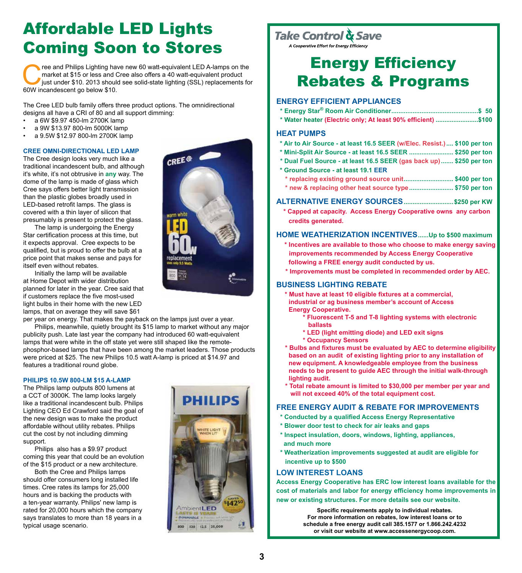# Affordable LED Lights Coming Soon to Stores

ree and Philips Lighting have new 60 watt-equivalent LED A-lamps on the market at \$15 or less and Cree also offers a 40 watt-equivalent product just under \$10. 2013 should see solid-state lighting (SSL) replacements fo 60W market at \$15 or less and Cree also offers a 40 watt-equivalent product just under \$10. 2013 should see solid-state lighting (SSL) replacements for 60W incandescent go below \$10.

The Cree LED bulb family offers three product options. The omnidirectional designs all have a CRI of 80 and all support dimming:

- a 6W \$9.97 450-lm 2700K lamp
- a 9W \$13.97 800-lm 5000K lamp
- a 9.5W \$12.97 800-lm 2700K lamp

### **Cree omni-directional LED lamp**

The Cree design looks very much like a traditional incandescent bulb, and although it's white, it's not obtrusive in **any** way. The dome of the lamp is made of glass which Cree says offers better light transmission than the plastic globes broadly used in LED-based retrofit lamps. The glass is covered with a thin layer of silicon that presumably is present to protect the glass.

The lamp is undergoing the Energy Star certification process at this time, but it expects approval. Cree expects to be qualified, but is proud to offer the bulb at a price point that makes sense and pays for itself even without rebates.

Initially the lamp will be available at Home Depot with wider distribution planned for later in the year. Cree said that if customers replace the five most-used light bulbs in their home with the new LED lamps, that on average they will save \$61

per year on energy. That makes the payback on the lamps just over a year.

Philips, meanwhile, quietly brought its \$15 lamp to market without any major publicity push. Late last year the company had introduced 60 watt-equivalent lamps that were white in the off state yet were still shaped like the remotephosphor-based lamps that have been among the market leaders. Those products were priced at \$25. The new Philips 10.5 watt A-lamp is priced at \$14.97 and features a traditional round globe.

### **Philips 10.5W 800-lm \$15 A-lamp**

The Philips lamp outputs 800 lumens at a CCT of 3000K. The lamp looks largely like a traditional incandescent bulb. Philips Lighting CEO Ed Crawford said the goal of the new design was to make the product affordable without utility rebates. Philips cut the cost by not including dimming support.

Philips also has a \$9.97 product coming this year that could be an evolution of the \$15 product or a new architecture.

Both the Cree and Philips lamps should offer consumers long installed life times. Cree rates its lamps for 25,000 hours and is backing the products with a ten-year warranty. Philips' new lamp is rated for 20,000 hours which the company says translates to more than 18 years in a typical usage scenario.



## Take Control & Save

A Cooperative Effort for Energy Efficiency

# Energy Efficiency Rebates & Programs

## **Energy EFFICIENT Appliances**

|  |  |  |  |  |  | $\bullet$ $\bullet$ $\bullet$ |
|--|--|--|--|--|--|-------------------------------|

**\* Water heater (Electric only; At least 90% efficient) ........................\$100**

### **Heat Pumps**

- **\* Air to Air Source at least 16.5 SEER (w/Elec. Resist.).... \$100 per ton**
- **\* Mini-Split Air Source at least 16.5 SEER ......................... \$250 per ton**
- **\* Dual Fuel Source at least 16.5 SEER (gas back up)....... \$250 per ton**
- **\* Ground Source at least 19.1 EER**
	- **\* replacing existing ground source unit............................ \$400 per ton \* new & replacing other heat source type......................... \$750 per ton**
- **Alternative Energy Sources............................\$250 per KW**
	- **\* Capped at capacity. Access Energy Cooperative owns any carbon credits generated.**

## **Home Weatherization Incentives......Up to \$500 maximum**

- **\* Incentives are available to those who choose to make energy saving improvements recommended by Access Energy Cooperative following a FREE energy audit conducted by us.**
- **\* Improvements must be completed in recommended order by AEC.**

## **business lighting rebate**

- **\* Must have at least 10 eligible fixtures at a commercial, industrial or ag business member's account of Access Energy Cooperative.**
	- **\* Fluorescent T-5 and T-8 lighting systems with electronic ballasts**
	- **\* LED (light emitting diode) and LED exit signs**
	- **\* Occupancy Sensors**
- **\* Bulbs and fixtures must be evaluated by AEC to determine eligibility based on an audit of existing lighting prior to any installation of new equipment. A knowledgeable employee from the business needs to be present to guide AEC through the initial walk-through lighting audit.**
- **\* Total rebate amount is limited to \$30,000 per member per year and will not exceed 40% of the total equipment cost.**

### **FREE Energy Audit & rebate for improvements**

- **\* Conducted by a qualified Access Energy Representative**
- **\* Blower door test to check for air leaks and gaps**
- **\* Inspect insulation, doors, windows, lighting, appliances, and much more**
- **\* Weatherization improvements suggested at audit are eligible for incentive up to \$500**

## **LOW INTEREST LOANS**

**Access Energy Cooperative has ERC low interest loans available for the cost of materials and labor for energy efficiency home improvements in new or existing structures. For more details see our website.**

> **Specific requirements apply to individual rebates. For more information on rebates, low interest loans or to schedule a free energy audit call 385.1577 or 1.866.242.4232 or visit our website at www.accessenergycoop.com.**



**DHIIIDS**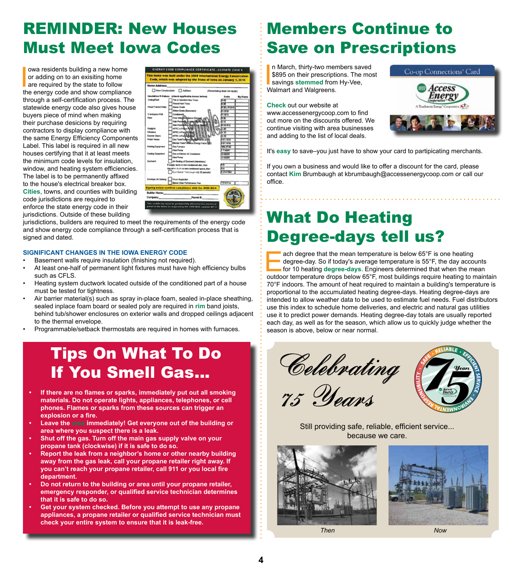# REMINDER: New Houses Must Meet Iowa Codes

owa residents building a new home<br>or adding on to an exisiting home<br>are required by the state to follow<br>the energy code and show compliance owa residents building a new home or adding on to an exisiting home are required by the state to follow through a self-certification process. The statewide energy code also gives house buyers piece of mind when making their purchase desicions by requiring contractors to display compliance with the same Energy Efficiency Components Label. This label is required in all new houses certifying that it at least meets the minimum code levels for insulation, window, and heating system efficiencies. The label is to be permanently affixed to the house's electrical breaker box. **Cities**, towns, and counties with building code jurisdictions are required to enforce the state energy code in their jurisdictions. Outside of these building

|                                                      | Code, which was adopted by the State of Jowa on January 1, 2010                                                               |                             |         |
|------------------------------------------------------|-------------------------------------------------------------------------------------------------------------------------------|-----------------------------|---------|
| <b>Home Address:</b>                                 |                                                                                                                               |                             |         |
|                                                      | New Construction   Addition                                                                                                   | (Ramodeling does not apply) |         |
|                                                      | Insulation R-Values (check applicable boxes below)                                                                            | Goda                        | My Home |
| Celeng/Road                                          | Flat or Standard Atta: Truns                                                                                                  | 2.48                        |         |
|                                                      | Raised Havi Truss                                                                                                             | œ                           |         |
| Wood Framed Walls                                    | Above Crade                                                                                                                   | $1.36 - 0.11 + 5$           |         |
|                                                      | <b>Brion Greek (Besement)</b>                                                                                                 | 6.16%                       |         |
| Crawispace Wall                                      | Condizoned                                                                                                                    | R. stro                     |         |
| Floor                                                | Over United States (Da                                                                                                        | 636                         |         |
|                                                      | Siab Perei                                                                                                                    | ⊷                           |         |
|                                                      | Side Power                                                                                                                    | 1.15-5.6                    |         |
| <b>Siglights</b>                                     | MIRC UT Mar Rd                                                                                                                | 11.80                       |         |
| <b>Windows</b>                                       | <b>MIKCU FactORER</b>                                                                                                         | <b>u</b> 35                 |         |
| Everner Dears                                        | <b>AFRIC U.Fudellul</b>                                                                                                       | क्र प्र                     |         |
| <b>Water Heater</b>                                  | <b>Ons TwenTariphy Ply</b>                                                                                                    | 1177000                     |         |
|                                                      | Electric Taris/Tarkiess Energy Factor (25)                                                                                    | 1014918                     |         |
| Hening Equanent                                      | <b>Get Furnace</b>                                                                                                            | <b>NH. AFLE</b>             |         |
|                                                      | Heat Pump                                                                                                                     | <b>THEFT</b>                |         |
| Cooking Equipment                                    | <b>Gas or Electric Air Conditioner</b>                                                                                        | <b>CLIMITA</b>              |         |
|                                                      | Hast Purno                                                                                                                    | <b>LE SEER</b>              |         |
| Ductowork                                            | Air-Sealing of Ductiverk (Mandelsey)                                                                                          |                             |         |
|                                                      | If supply ducts in non-conditioned abic, then                                                                                 | 盯                           |         |
|                                                      | Any other ducts in non-conditioned space, then                                                                                | iка                         |         |
|                                                      | Duct Blaster Test (rough-mil) 25 peacakd.                                                                                     | <b>Kelly (SOM)</b>          |         |
| Envelope Ar Sening                                   | <b>Visual Inspection</b>                                                                                                      |                             |         |
|                                                      | <b>Blove: Door Performance Test</b>                                                                                           | <b>TEACH</b>                |         |
|                                                      | <b>Signing below certifies compliance with the 2008 IECC</b>                                                                  |                             |         |
| Builder Name: New York Street, Street Street, Tennis |                                                                                                                               |                             |         |
|                                                      | Company._________________________Permit #                                                                                     |                             |         |
|                                                      | This certificate must be permanently attred to the electrical<br>panel in the home as required by the 2009 IECC section 401.2 |                             |         |

jurisdictions, builders are required to meet the requirements of the energy code and show energy code compliance through a self-certification process that is signed and dated.

### **SIGNIFICANT CHANGES IN THE IOWA ENERGY CODE**

- Basement walls require insulation (finishing not required).
- At least one-half of permanent light fixtures must have high efficiency bulbs such as CFLS.
- Heating system ductwork located outside of the conditioned part of a house must be tested for tightness.
- Air barrier material(s) such as spray in-place foam, sealed in-place sheathing, sealed inplace foam board or sealed poly are required in **rim** band joists, behind tub/shower enclosures on exterior walls and dropped ceilings adjacent to the thermal envelope.
- Programmable/setback thermostats are required in homes with furnaces.

# Tips On What To Do If You Smell Gas...

- **• If there are no flames or sparks, immediately put out all smoking materials. Do not operate lights, appliances, telephones, or cell phones. Flames or sparks from these sources can trigger an explosion or a fire.**
- **• Leave the area immediately! Get everyone out of the building or area where you suspect there is a leak.**
- **• Shut off the gas. Turn off the main gas supply valve on your propane tank (clockwise) if it is safe to do so.**
- **• Report the leak from a neighbor's home or other nearby building away from the gas leak, call your propane retailer right away. If you can't reach your propane retailer, call 911 or you local fire department.**
- **• Do not return to the building or area until your propane retailer, emergency responder, or qualified service technician determines that it is safe to do so.**
- **• Get your system checked. Before you attempt to use any propane appliances, a propane retailer or qualified service technician must check your entire system to ensure that it is leak-free.**

# Members Continue to Save on Prescriptions

n March, thirty-two mer<br>\$895 on their prescripti<br>savings stemmed from<br>Walmart and Walgreens. n March, thirty-two members saved \$895 on their prescriptions. The most savings **stemmed** from Hy-Vee,

**Check** out our website at www.accessenergycoop.com to find out more on the discounts offered. We continue visiting with area businesses and adding to the list of local deals.



It's **easy** to save–you just have to show your card to partipicating merchants.

If you own a business and would like to offer a discount for the card, please contact **Kim** Brumbaugh at kbrumbaugh@accessenergycoop.com or call our office.

# What Do Heating Degree-days tell us?

ach degree that the mean temperature is below 65°F is one heating degree-day. So if today's average temperature is 55°F, the day accounts for 10 heating **degree-days**. Engineers determined that when the mean outdoor temperature drops below 65°F, most buildings require heating to maintain 70°F indoors. The amount of heat required to maintain a building's temperature is proportional to the accumulated heating degree-days. Heating degree-days are intended to allow weather data to be used to estimate fuel needs. Fuel distributors use this index to schedule home deliveries, and electric and natural gas utilities use it to predict power demands. Heating degree-day totals are usually reported each day, as well as for the season, which allow us to quickly judge whether the season is above, below or near normal.







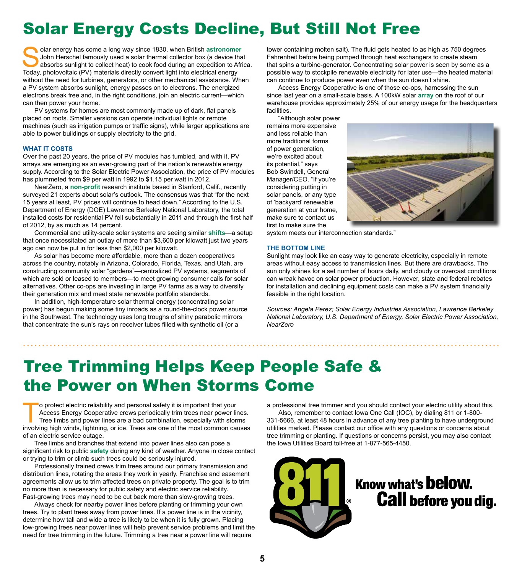# Solar Energy Costs Decline, But Still Not Free

Solar energy has come a long way since 1830, when British **astronomer** John Herschel famously used a solar thermal collector box (a device that absorbs sunlight to collect heat) to cook food during an expedition to Africa. Today, photovoltaic (PV) materials directly convert light into electrical energy without the need for turbines, generators, or other mechanical assistance. When a PV system absorbs sunlight, energy passes on to electrons. The energized electrons break free and, in the right conditions, join an electric current—which can then power your home.

PV systems for homes are most commonly made up of dark, flat panels placed on roofs. Smaller versions can operate individual lights or remote machines (such as irrigation pumps or traffic signs), while larger applications are able to power buildings or supply electricity to the grid.

### **What it costs**

Over the past 20 years, the price of PV modules has tumbled, and with it, PV arrays are emerging as an ever-growing part of the nation's renewable energy supply. According to the Solar Electric Power Association, the price of PV modules has plummeted from \$9 per watt in 1992 to \$1.15 per watt in 2012.

NearZero, a **non-profit** research institute based in Stanford, Calif., recently surveyed 21 experts about solar's outlook. The consensus was that "for the next 15 years at least, PV prices will continue to head down." According to the U.S. Department of Energy (DOE) Lawrence Berkeley National Laboratory, the total installed costs for residential PV fell substantially in 2011 and through the first half of 2012, by as much as 14 percent.

Commercial and utility-scale solar systems are seeing similar **shifts**—a setup that once necessitated an outlay of more than \$3,600 per kilowatt just two years ago can now be put in for less than \$2,000 per kilowatt.

As solar has become more affordable, more than a dozen cooperatives across the country, notably in Arizona, Colorado, Florida, Texas, and Utah, are constructing community solar "gardens"—centralized PV systems, segments of which are sold or leased to members—to meet growing consumer calls for solar alternatives. Other co-ops are investing in large PV farms as a way to diversify their generation mix and meet state renewable portfolio standards.

In addition, high-temperature solar thermal energy (concentrating solar power) has begun making some tiny inroads as a round-the-clock power source in the Southwest. The technology uses long troughs of shiny parabolic mirrors that concentrate the sun's rays on receiver tubes filled with synthetic oil (or a

tower containing molten salt). The fluid gets heated to as high as 750 degrees Fahrenheit before being pumped through heat exchangers to create steam that spins a turbine-generator. Concentrating solar power is seen by some as a possible way to stockpile renewable electricity for later use—the heated material can continue to produce power even when the sun doesn't shine.

Access Energy Cooperative is one of those co-ops, harnessing the sun since last year on a small-scale basis. A 100kW solar **array** on the roof of our warehouse provides approximately 25% of our energy usage for the headquarters facilities.

"Although solar power remains more expensive and less reliable than more traditional forms of power generation, we're excited about its potential," says Bob Swindell, General Manager/CEO. "If you're considering putting in solar panels, or any type of 'backyard' renewable generation at your home, make sure to contact us first to make sure the



system meets our interconnection standards."

### **The bottom line**

Sunlight may look like an easy way to generate electricity, especially in remote areas without easy access to transmission lines. But there are drawbacks. The sun only shines for a set number of hours daily, and cloudy or overcast conditions can wreak havoc on solar power production. However, state and federal rebates for installation and declining equipment costs can make a PV system financially feasible in the right location.

*Sources: Angela Perez; Solar Energy Industries Association, Lawrence Berkeley National Laboratory, U.S. Department of Energy, Solar Electric Power Association, NearZero*

# Tree Trimming Helps Keep People Safe & the Power on When Storms Come

To protect electric reliability and personal safety it is important that your<br>Access Energy Cooperative crews periodically trim trees near power line<br>Tree limbs and power lines are a bad combination, especially with storie Access Energy Cooperative crews periodically trim trees near power lines. Tree limbs and power lines are a bad combination, especially with storms involving high winds, lightning, or ice. Trees are one of the most common causes of an electric service outage.

Tree limbs and branches that extend into power lines also can pose a significant risk to public **safety** during any kind of weather. Anyone in close contact or trying to trim or climb such trees could be seriously injured.

Professionally trained crews trim trees around our primary transmission and distribution lines, rotating the areas they work in yearly. Franchise and easement agreements allow us to trim affected trees on private property. The goal is to trim no more than is necessary for public safety and electric service reliability. Fast-growing trees may need to be cut back more than slow-growing trees.

Always check for nearby power lines before planting or trimming your own trees. Try to plant trees away from power lines. If a power line is in the vicinity, determine how tall and wide a tree is likely to be when it is fully grown. Placing low-growing trees near power lines will help prevent service problems and limit the need for tree trimming in the future. Trimming a tree near a power line will require

a professional tree trimmer and you should contact your electric utility about this.

Also, remember to contact Iowa One Call (IOC), by dialing 811 or 1-800- 331-5666, at least 48 hours in advance of any tree planting to have underground utilities marked. Please contact our office with any questions or concerns about tree trimming or planting. If questions or concerns persist, you may also contact the Iowa Utilities Board toll-free at 1-877-565-4450.

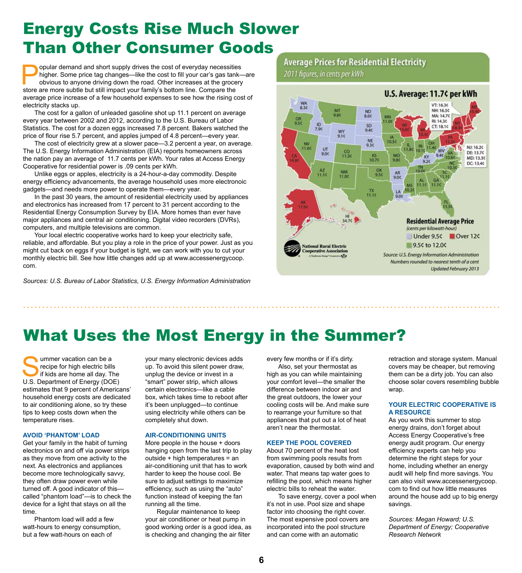# Energy Costs Rise Much Slower Than Other Consumer Goods

popular demand and short supply drives the cost of everyday necessities<br>higher. Some price tag changes—like the cost to fill your car's gas tank—<br>obvious to anyone driving down the road. Other increases at the grocery<br>stor higher. Some price tag changes—like the cost to fill your car's gas tank—are obvious to anyone driving down the road. Other increases at the grocery store are more subtle but still impact your family's bottom line. Compare the average price increase of a few household expenses to see how the rising cost of electricity stacks up.

The cost for a gallon of unleaded gasoline shot up 11.1 percent on average every year between 2002 and 2012, according to the U.S. Bureau of Labor Statistics. The cost for a dozen eggs increased 7.8 percent. Bakers watched the price of flour rise 5.7 percent, and apples jumped of 4.8 percent—every year.

The cost of electricity grew at a slower pace—3.2 percent a year, on average. The U.S. Energy Information Administration (EIA) reports homeowners across the nation pay an average of 11.7 cents per kWh. Your rates at Access Energy Cooperative for residential power is .09 cents per kWh.

Unlike eggs or apples, electricity is a 24-hour-a-day commodity. Despite energy efficiency advancements, the average household uses more electronoic gadgets—and needs more power to operate them—every year.

In the past 30 years, the amount of residential electricity used by appliances and electronics has increased from 17 percent to 31 percent according to the Residential Energy Consumption Survey by EIA. More homes than ever have major appliances and central air conditioning. Digital video recorders (DVRs), computers, and multiple televisions are common.

Your local electric cooperative works hard to keep your electricity safe, reliable, and affordable. But you play a role in the price of your power. Just as you might cut back on eggs if your budget is tight, we can work with you to cut your monthly electric bill. See how little changes add up at www.accessenergycoop. com.

*Sources: U.S. Bureau of Labor Statistics, U.S. Energy Information Administration*

## **Average Prices for Residential Electricity**

2011 figures, in cents per kWh



# What Uses the Most Energy in the Summer?

Ummer vacation can be a<br>
recipe for high electric bills<br>
if kids are home all day. The<br>
U.S. Department of Energy (DOE) recipe for high electric bills if kids are home all day. The estimates that 9 percent of Americans' household energy costs are dedicated to air conditioning alone, so try these tips to keep costs down when the temperature rises.

#### **Avoid 'phantom' load**

Get your family in the habit of turning electronics on and off via power strips as they move from one activity to the next. As electronics and appliances become more technologically savvy, they often draw power even while turned off. A good indicator of this called "phantom load"—is to check the device for a light that stays on all the time.

Phantom load will add a few watt-hours to energy consumption, but a few watt-hours on each of

your many electronic devices adds up. To avoid this silent power draw, unplug the device or invest in a "smart" power strip, which allows certain electronics—like a cable box, which takes time to reboot after it's been unplugged—to continue using electricity while others can be completely shut down.

### **Air-conditioning units**

More people in the house + doors hanging open from the last trip to play outside + high temperatures = an air-conditioning unit that has to work harder to keep the house cool. Be sure to adjust settings to maximize efficiency, such as using the "auto" function instead of keeping the fan running all the time.

Regular maintenance to keep your air conditioner or heat pump in good working order is a good idea, as is checking and changing the air filter

every few months or if it's dirty.

Also, set your thermostat as high as you can while maintaining your comfort level—the smaller the difference between indoor air and the great outdoors, the lower your cooling costs will be. And make sure to rearrange your furniture so that appliances that put out a lot of heat aren't near the thermostat.

### **Keep the pool covered**

About 70 percent of the heat lost from swimming pools results from evaporation, caused by both wind and water. That means tap water goes to refilling the pool, which means higher electric bills to reheat the water.

To save energy, cover a pool when it's not in use. Pool size and shape factor into choosing the right cover. The most expensive pool covers are incorporated into the pool structure and can come with an automatic

retraction and storage system. Manual covers may be cheaper, but removing them can be a dirty job. You can also choose solar covers resembling bubble wrap.

### **Your electric cooperative is a resource**

As you work this summer to stop energy drains, don't forget about Access Energy Cooperative's free energy audit program. Our energy efficiency experts can help you determine the right steps for your home, including whether an energy audit will help find more savings. You can also visit www.accessenergycoop. com to find out how little measures around the house add up to big energy savings.

*Sources: Megan Howard; U.S. Department of Energy; Cooperative Research Network*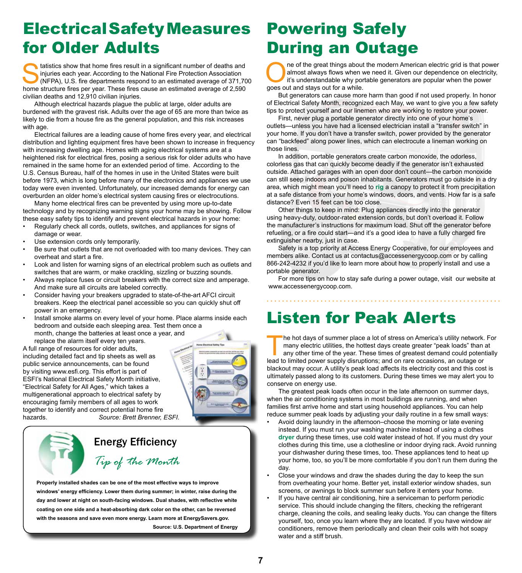# Electrical Safety Measures for Older Adults

 $\blacktriangleright$  tatistics show that home fires result in a significant number of deaths and injuries each year. According to the National Fire Protection Association (NFPA), U.S. fire departments respond to an estimated average of 371,700 home structure fires per year. These fires cause an estimated average of 2,590 civilian deaths and 12,910 civilian injuries.

Although electrical hazards plague the public at large, older adults are burdened with the gravest risk. Adults over the age of 65 are more than twice as likely to die from a house fire as the general population, and this risk increases with age.

Electrical failures are a leading cause of home fires every year, and electrical distribution and lighting equipment fires have been shown to increase in frequency with increasing dwelling age. Homes with aging electrical systems are at a heightened risk for electrical fires, posing a serious risk for older adults who have remained in the same home for an extended period of time. According to the U.S. Census Bureau, half of the homes in use in the United States were built before 1973, which is long before many of the electronics and appliances we use today were even invented. Unfortunately, our increased demands for energy can overburden an older home's electrical system causing fires or electrocutions.

Many home electrical fires can be prevented by using more up-to-date technology and by recognizing warning signs your home may be showing. Follow these easy safety tips to identify and prevent electrical hazards in your home:

- Regularly check all cords, outlets, switches, and appliances for signs of damage or wear.
- Use extension cords only temporarily.
- Be sure that outlets that are not overloaded with too many devices. They can overheat and start a fire.
- Look and listen for warning signs of an electrical problem such as outlets and switches that are warm, or make crackling, sizzling or buzzing sounds.
- Always replace fuses or circuit breakers with the correct size and amperage. And make sure all circuits are labeled correctly.
- Consider having your breakers upgraded to state-of-the-art AFCI circuit breakers. Keep the electrical panel accessible so you can quickly shut off power in an emergency.
- Install smoke alarms on every level of your home. Place alarms inside each bedroom and outside each sleeping area. Test them once a month, change the batteries at least once a year, and replace the alarm itself every ten years.

A full range of resources for older adults, including detailed fact and tip sheets as well as public service announcements, can be found by visiting www.esfi.org. This effort is part of ESFI's National Electrical Safety Month initiative, "Electrical Safety for All Ages," which takes a multigenerational approach to electrical safety by encouraging family members of all ages to work together to identify and correct potential home fire hazards. *Source: Brett Brenner, ESFI.* 



# *Tip of the Month* Energy Efficiency

**Properly installed shades can be one of the most effective ways to improve windows' energy efficiency. Lower them during summer; in winter, raise during the day and lower at night on south-facing windows. Dual shades, with reflective white coating on one side and a heat-absorbing dark color on the other, can be reversed with the seasons and save even more energy. Learn more at EnergySavers.gov. Source: U.S. Department of Energy**

# Powering Safely During an Outage

The of the great things about the modern American electric grid is that power<br>almost always flows when we need it. Given our dependence on electricity,<br>it's understandable why portable generators are popular when the power almost always flows when we need it. Given our dependence on electricity, it's understandable why portable generators are popular when the power goes out and stays out for a while.

But generators can cause more harm than good if not used properly. In honor of Electrical Safety Month, recognized each May, we want to give you a few safety tips to protect yourself and our linemen who are working to restore your power.

First, never plug a portable generator directly into one of your home's outlets—unless you have had a licensed electrician install a "transfer switch" in your home. If you don't have a transfer switch, power provided by the generator can "backfeed" along power lines, which can electrocute a lineman working on those lines.

In addition, portable generators create carbon monoxide, the odorless, colorless gas that can quickly become deadly if the generator isn't exhausted outside. Attached garages with an open door don't count—the carbon monoxide can still seep indoors and poison inhabitants. Generators must go outside in a dry area, which might mean you'll need to **rig** a canopy to protect it from precipitation at a safe distance from your home's windows, doors, and vents. How far is a safe distance? Even 15 feet can be too close.

Other things to keep in mind: Plug appliances directly into the generator using heavy-duty, outdoor-rated extension cords, but don't overload it. Follow the manufacturer's instructions for maximum load. Shut off the generator before refueling, or a fire could start—and it's a good idea to have a fully charged fire extinguisher nearby, just in case.

Safety is a top priority at Access Energy Cooperative, for our employees and members alike. Contact us at contactus@accessenergycoop.com or by calling 866-242-4232 if you'd like to learn more about how to properly install and use a portable generator.

For more tips on how to stay safe during a power outage, visit our website at www.accessenergycoop.com.

# Listen for Peak Alerts

The hot days of summer place a lot of stress on America's utility network. For<br>many electric utilities, the hottest days create greater "peak loads" than at<br>any other time of the year. These times of greatest demand could many electric utilities, the hottest days create greater "peak loads" than at any other time of the year. These times of greatest demand could potentially lead to limited power supply disruptions; and on rare occasions, an outage or blackout may occur. A utility's peak load affects its electricity cost and this cost is ultimately passed along to its customers. During these times we may alert you to conserve on energy use.

The greatest peak loads often occur in the late afternoon on summer days, when the air conditioning systems in most buildings are running, and when families first arrive home and start using household appliances. You can help reduce summer peak loads by adjusting your daily routine in a few small ways:

- Avoid doing laundry in the afternoon–choose the morning or late evening instead. If you must run your washing machine instead of using a clothes **dryer** during these times, use cold water instead of hot. If you must dry your clothes during this time, use a clothesline or indoor drying rack. Avoid running your dishwasher during these times, too. These appliances tend to heat up your home, too, so you'll be more comfortable if you don't run them during the day.
- Close your windows and draw the shades during the day to keep the sun from overheating your home. Better yet, install exterior window shades, sun screens, or awnings to block summer sun before it enters your home.
- If you have central air conditioning, hire a serviceman to perform periodic service. This should include changing the filters, checking the refrigerant charge, cleaning the coils, and sealing leaky ducts. You can change the filters yourself, too, once you learn where they are located. If you have window air conditioners, remove them periodically and clean their coils with hot soapy water and a stiff brush.